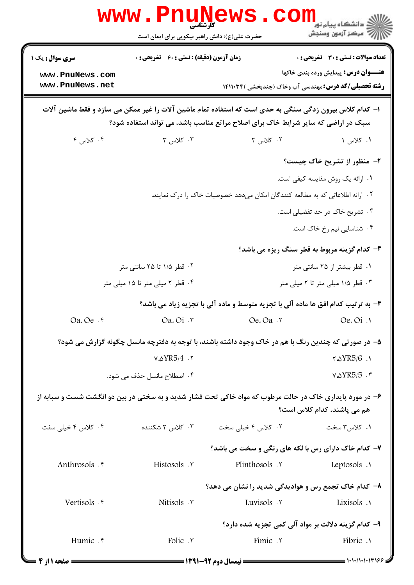|                                                                                                                                                                                              | <b>www.PnuNews</b><br>کارشناسی<br>حضرت علی(ع): دانش راهبر نیکویی برای ایمان است | CON                                                                                                      | ري دانشڪاه پيام نو <mark>ر ∐</mark><br>اڳ مرڪز آزمهن وسنڊش                                  |  |  |
|----------------------------------------------------------------------------------------------------------------------------------------------------------------------------------------------|---------------------------------------------------------------------------------|----------------------------------------------------------------------------------------------------------|---------------------------------------------------------------------------------------------|--|--|
| <b>سری سوال :</b> یک ۱<br>www.PnuNews.com<br>www.PnuNews.net                                                                                                                                 | <b>زمان آزمون (دقیقه) : تستی : 60 ٪ تشریحی : 0</b>                              | <b>رشته تحصیلی/کد درس:</b> مهندسی آب وخاک (چندبخشی )۱۴۱۱۰۳۴                                              | <b>تعداد سوالات : تستی : 30 ٪ تشریحی : 0</b><br><b>عنـــوان درس:</b> پیدایش ورده بندی خاکها |  |  |
| ۱– کدام کلاس بیرون زدگی سنگی به حدی است که استفاده تمام ماشین آلات را غیر ممکن می سازد و فقط ماشین آلات<br>سبک در اراضی که سایر شرایط خاک برای اصلاح مراتع مناسب باشد، می تواند استفاده شود؟ |                                                                                 |                                                                                                          |                                                                                             |  |  |
| ۰۴ کلاس ۴                                                                                                                                                                                    | ۰۳ کلاس ۳                                                                       | ۰۲ کلاس ۲                                                                                                | ۱. کلاس ۱                                                                                   |  |  |
|                                                                                                                                                                                              |                                                                                 |                                                                                                          | ۲- منظور از تشریح خاک چیست؟                                                                 |  |  |
|                                                                                                                                                                                              |                                                                                 |                                                                                                          | ٠١ ارائه يک روش مقايسه کيفي است.                                                            |  |  |
|                                                                                                                                                                                              | ۲ . ارائه اطلاعاتی که به مطالعه کنندگان امکان میدهد خصوصیات خاک را درک نمایند.  |                                                                                                          |                                                                                             |  |  |
|                                                                                                                                                                                              | ۰۳ تشریح خاک در حد تفضیلی است.                                                  |                                                                                                          |                                                                                             |  |  |
|                                                                                                                                                                                              |                                                                                 |                                                                                                          | ۰۴ شناسایی نیم رخ خاک است.                                                                  |  |  |
|                                                                                                                                                                                              |                                                                                 |                                                                                                          | ۳- کدام گزینه مربوط به قطر سنگ ریزه می باشد؟                                                |  |  |
|                                                                                                                                                                                              | ۰۲ قطر ۱/۵ تا ۲۵ سانتی متر                                                      |                                                                                                          | ۰۱ قطر بیشتر از ۲۵ سانتی متر                                                                |  |  |
| ۰۴ قطر ۲ میلی متر تا ۱۵ میلی متر                                                                                                                                                             |                                                                                 | ۰۳ قطر ۱/۵ میلی متر تا ۲ میلی متر                                                                        |                                                                                             |  |  |
|                                                                                                                                                                                              |                                                                                 | ۴- به ترتیب کدام افق ها ماده آلی با تجزیه متوسط و ماده آلی با تجزیه زیاد می باشد؟                        |                                                                                             |  |  |
| $Oa$ , $Oe$ $\cdot$ $\uparrow$                                                                                                                                                               | Oa. Oi . ۳                                                                      | Oe. Oa .r                                                                                                | $Oe, Oi$ .                                                                                  |  |  |
|                                                                                                                                                                                              |                                                                                 | ۵- در صورتی که چندین رنگ با هم در خاک وجود داشته باشند، با توجه به دفترچه مانسل چگونه گزارش می شود؟      |                                                                                             |  |  |
|                                                                                                                                                                                              | $V.\Delta YR5/4.7$                                                              |                                                                                                          | $\sqrt{\Delta YRS/6}$ .                                                                     |  |  |
| ۰۴ اصطلاح مانسل حذف می شود.                                                                                                                                                                  |                                                                                 | $V.\Delta YRS/5.7$                                                                                       |                                                                                             |  |  |
|                                                                                                                                                                                              |                                                                                 | ۶– در مورد پایداری خاک در حالت مرطوب که مواد خاکی تحت فشار شدید و به سختی در بین دو انگشت شست و سبابه از | هم مے پاشند، کدام کلاس است؟                                                                 |  |  |
| ۰۴ کلاس ۴ خیلی سفت                                                                                                                                                                           | ۰۳ کلاس ۲ شکننده                                                                | ۰۲ کلاس ۴ خیلی سخت                                                                                       | ۰۱ کلاس۳ سخت                                                                                |  |  |
|                                                                                                                                                                                              |                                                                                 | ۷- کدام خاک دارای رس با لکه های رنگی و سخت می باشد؟                                                      |                                                                                             |  |  |
| Anthrosols . e                                                                                                                                                                               | Histosols . ٣                                                                   | Plinthosols .                                                                                            | Leptosols .                                                                                 |  |  |
|                                                                                                                                                                                              |                                                                                 | ٨− کدام خاک تجمع رس و هوادیدگی شدید را نشان می دهد؟                                                      |                                                                                             |  |  |
| Vertisols . r                                                                                                                                                                                | Nitisols .r                                                                     | Luvisols .r                                                                                              | Lixisols .                                                                                  |  |  |
|                                                                                                                                                                                              |                                                                                 | ۹- کدام گزینه دلالت بر مواد آلی کمی تجزیه شده دارد؟                                                      |                                                                                             |  |  |
| Humic .f                                                                                                                                                                                     | Folic $\cdot$ $\cdot$                                                           | Fimic . ٢                                                                                                | Fibric .                                                                                    |  |  |
|                                                                                                                                                                                              |                                                                                 | $\longrightarrow$ (WA) AV and H and $\longrightarrow$                                                    | = 1.1./1.1.1396 =                                                                           |  |  |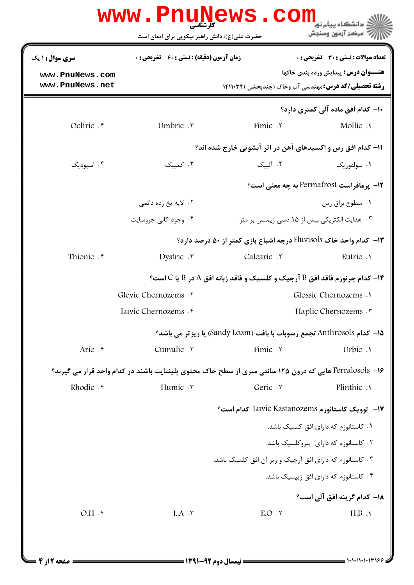|                                    | www.Pnu̯Mews.com<br>حضرت علی(ع): دانش راهبر نیکویی برای ایمان است                                       |                                                                                       | دانشگاه بیام نور<br>' مرڪز آزمون وسنڊش      |
|------------------------------------|---------------------------------------------------------------------------------------------------------|---------------------------------------------------------------------------------------|---------------------------------------------|
| <b>سری سوال : ۱ یک</b>             | <b>زمان آزمون (دقیقه) : تستی : 60 ٪ تشریحی : 0</b>                                                      |                                                                                       | تعداد سوالات : تستى : 30 - تشريحي : 0       |
| www.PnuNews.com<br>www.PnuNews.net |                                                                                                         | <b>رشته تحصیلی/کد درس: مهندسی آب وخاک (چندبخشی )۱۴۱۱۰۳۴</b>                           | <b>عنـــوان درس:</b> پيدايش ورده بندي خاكها |
|                                    |                                                                                                         |                                                                                       | +ا– کدام افق مادہ آلی کمتری دارد؟           |
| Ochric . e                         | Umbric .r                                                                                               | Fimic .٢                                                                              | Mollic .                                    |
|                                    |                                                                                                         | 11- کدام افق رس و اکسیدهای آهن در اثر آبشویی خارج شده اند؟                            |                                             |
| ۰۴ اسیودیک                         | ۰۳ کمینک                                                                                                | ۲. آلینک                                                                              | ۰۱ سولفوریک                                 |
|                                    | 12- يرمافراست Permafrost به چه معنى است؟                                                                |                                                                                       |                                             |
|                                    | ۰۲ لايه يخ زده دائمي                                                                                    |                                                                                       | ۰۱ سطوح براق رس                             |
|                                    | ۰۴ وجود کانی جروسایت                                                                                    | ۰۳ هدایت الکتریکی بیش از ۱۵ دسی زیمنس بر متر                                          |                                             |
|                                    |                                                                                                         | ۱۳- کدام واحد خاک Fluvisols درجه اشباع بازی کمتر از ۵۰ درصد دارد؟                     |                                             |
| Thionic . r                        | Dystric $\cdot$                                                                                         | Calcaric .                                                                            | Eutric .                                    |
|                                    |                                                                                                         | ا- کدام چرنوزم فاقد افق B آرجیک و کلسیک و فاقد زبانه افق A در B یا C است؟ $\mathsf F$ |                                             |
|                                    | Gleyic Chernozems .Y                                                                                    | Glossic Chernozems .                                                                  |                                             |
|                                    | Luvic Chernozems . r                                                                                    | Haplic Chernozems .                                                                   |                                             |
|                                    |                                                                                                         | 15- كدام Anthrosols تجمع رسوبات با بافت (Sandy Loam) يا ريزتر مي باشد؟                |                                             |
| Aric .۴                            | Cumulic .r                                                                                              | Fimic . ٢                                                                             | Urbic .                                     |
|                                    | ۱۶– Ferralosols هایی که درون ۱۲۵ سانتی متری از سطح خاک محتوی پلینتایت باشند در کدام واحد قرار می گیرند؟ |                                                                                       |                                             |
| Rhodic . e                         | Humic .v                                                                                                | Geric . ٢                                                                             | Plinthic .1                                 |
|                                    |                                                                                                         | 17- لوویک کاستانوزم Luvic Kastanozems کدام است؟                                       |                                             |
|                                    |                                                                                                         |                                                                                       | ۰۱ کاستانوزم که دارای افق کلسیک باشد.       |
|                                    |                                                                                                         |                                                                                       | ۰۲ کاستانوزم که دارای پتروکلسیک باشد.       |
|                                    |                                                                                                         | ۰۳ کاستانوزم که دارای افق آرجیک و زیر آن افق کلسیک باشد.                              |                                             |
|                                    | ۰۴ کاستانوزم که دارای افق ژییسیک باشد.                                                                  |                                                                                       |                                             |
|                                    |                                                                                                         |                                                                                       | 1 <b>۸</b> – کدام گزینه افق آلی است؟        |
| $O.H.$ f                           | $LA \cdot \tau$                                                                                         | E.O.7                                                                                 | H.B.                                        |
|                                    |                                                                                                         |                                                                                       |                                             |
|                                    |                                                                                                         |                                                                                       |                                             |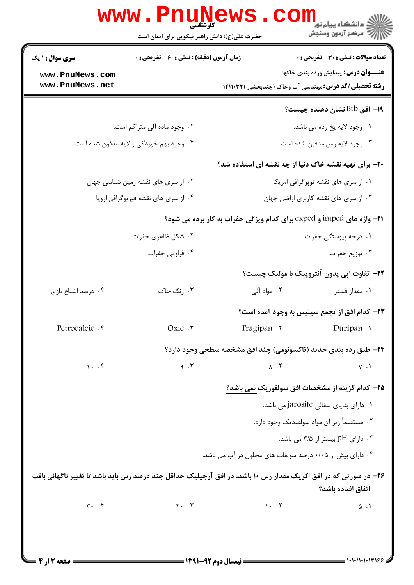|                                          | <b>www.PnuNews</b><br>حضرت علی(ع): دانش راهبر نیکویی برای ایمان است                                             |                                                           | ر دانشکاه پيام نور <mark>− ا</mark><br>ا <mark>ر</mark> = مرکز آزمون وسنجش                                 |  |
|------------------------------------------|-----------------------------------------------------------------------------------------------------------------|-----------------------------------------------------------|------------------------------------------------------------------------------------------------------------|--|
| <b>سری سوال : ۱ یک</b>                   | <b>زمان آزمون (دقیقه) : تستی : 60 ٪ تشریحی : 0</b>                                                              |                                                           | <b>تعداد سوالات : تستی : 30 ٪ تشریحی : 0</b>                                                               |  |
| www.PnuNews.com<br>www.PnuNews.net       |                                                                                                                 |                                                           | <b>عنـــوان درس:</b> پیدایش ورده بندی خاکها<br><b>رشته تحصیلی/کد درس:</b> مهندسی آب وخاک (چندبخشی )۱۴۱۱۰۳۴ |  |
|                                          |                                                                                                                 |                                                           | ۱۹– افق Btb نشان دهنده چیست؟                                                                               |  |
|                                          | ۰۲ وجود ماده آلی متراکم است.                                                                                    |                                                           | ٠١ وجود لايه يخ زده مي باشد.                                                                               |  |
| ۰۴ وجود بهم خوردگی و لایه مدفون شده است. |                                                                                                                 | ۰۳ وجود لايه رس مدفون شده است.                            |                                                                                                            |  |
|                                          |                                                                                                                 |                                                           | ۲۰- برای تهیه نقشه خاک دنیا از چه نقشه ای استفاده شد؟                                                      |  |
| ۰۲ از سری های نقشه زمین شناسی جهان       |                                                                                                                 |                                                           | ٠١ از سرى هاى نقشه توپوگرافى امريكا                                                                        |  |
| ۰۴ از سری های نقشه فیزیوگرافی اروپا      |                                                                                                                 | ۰۳ از سری های نقشه کاربری اراضی جهان                      |                                                                                                            |  |
|                                          |                                                                                                                 |                                                           | 21- واژه های imped و exped برای کدام ویژگی حفرات به کار برده می شود؟                                       |  |
| ۰۲ شکل ظاهری حفرات                       |                                                                                                                 | ۰۱ درجه پیوستگی حفرات                                     |                                                                                                            |  |
| ۰۴ فراوانی حفرات                         |                                                                                                                 | ۰۳ توزيع حفرات                                            |                                                                                                            |  |
|                                          |                                                                                                                 |                                                           | <b>۲۲</b> - تفاوت اپی پدون آنتروپیک با مولیک چیست؟                                                         |  |
| ۰۴ درصد اشباع بازی                       | ۰۳ رنگ خاک                                                                                                      |                                                           | ۰۱ مقدار فسفر مستقدار الی                                                                                  |  |
|                                          |                                                                                                                 |                                                           | ٢٣- كدام افق از تجمع سيليس به وجود آمده است؟                                                               |  |
| Petrocalcic . e                          | Oxic .r                                                                                                         | Fragipan .                                                | Duripan .                                                                                                  |  |
|                                          |                                                                                                                 |                                                           | <b>34- طبق رده بندی جدید (تاکسونومی) چند افق مشخصه سطحی وجود دارد؟</b>                                     |  |
| 1.7                                      | 9.7                                                                                                             | $\Lambda$ . ٢                                             | $V \cdot V$                                                                                                |  |
|                                          |                                                                                                                 |                                                           | ۲۵- کدام گزینه از مشخصات افق سولفوریک نمی باشد؟                                                            |  |
|                                          |                                                                                                                 |                                                           | ۰۱ دارای بقایای سفالی jarosite می باشد.                                                                    |  |
|                                          |                                                                                                                 |                                                           | ۰۲ مستقیماً زیر آن مواد سولفیدیک وجود دارد.                                                                |  |
|                                          |                                                                                                                 |                                                           | ۰۳ دارای pH بیشتر از ۳/۵ می باشد.                                                                          |  |
|                                          |                                                                                                                 | ۰۴ دارای بیش از ۰/۰۵ درصد سولفات های محلول در آب می باشد. |                                                                                                            |  |
|                                          | ۲۶- در صورتی که در افق اکریک مقدار رس ۱۰ باشد، در افق آرجیلیک حداقل چند درصد رس باید باشد تا تغییر ناگهانی بافت |                                                           | اتفاق افتاده باشد؟                                                                                         |  |
| $\uparrow \cdot \cdot \uparrow$          | $Y \cdot \cdot \cdot$                                                                                           | $\mathcal{N}$ . $\mathcal{N}$                             | $\Delta$ .                                                                                                 |  |
|                                          |                                                                                                                 |                                                           |                                                                                                            |  |